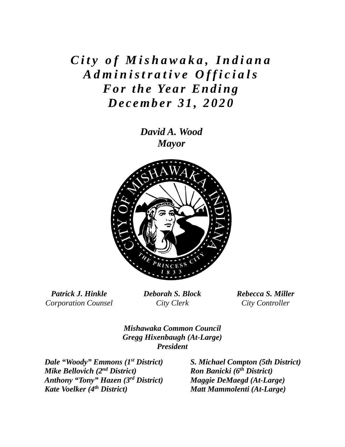## *City of Mishawaka, Indiana Administrative Officials For the Year Ending December 31, 2020*

*David A. Wood Mayor* 



*Patrick J. Hinkle Corporation Counsel*  *Deborah S. Block City Clerk* 

*Rebecca S. Miller City Controller* 

*Mishawaka Common Council Gregg Hixenbaugh (At-Large) President*

*Dale "Woody" Emmons (1st District) Mike Bellovich (2nd District) Anthony "Tony" Hazen (3rd District) Kate Voelker (4th District)* 

*S. Michael Compton (5th District) Ron Banicki (6th District) Maggie DeMaegd (At-Large) Matt Mammolenti (At-Large)*